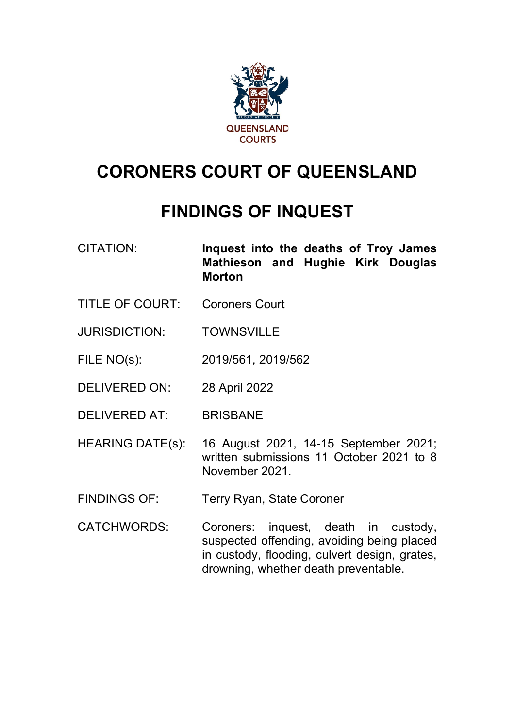

# **CORONERS COURT OF QUEENSLAND**

# **FINDINGS OF INQUEST**

- CITATION: **Inquest into the deaths of Troy James Mathieson and Hughie Kirk Douglas Morton**
- TITLE OF COURT: Coroners Court
- JURISDICTION: TOWNSVILLE
- FILE NO(s): 2019/561, 2019/562
- DELIVERED ON: 28 April 2022
- DELIVERED AT: BRISBANE
- HEARING DATE(s): 16 August 2021, 14-15 September 2021; written submissions 11 October 2021 to 8 November 2021.
- FINDINGS OF: Terry Ryan, State Coroner
- CATCHWORDS: Coroners: inquest, death in custody, suspected offending, avoiding being placed in custody, flooding, culvert design, grates, drowning, whether death preventable.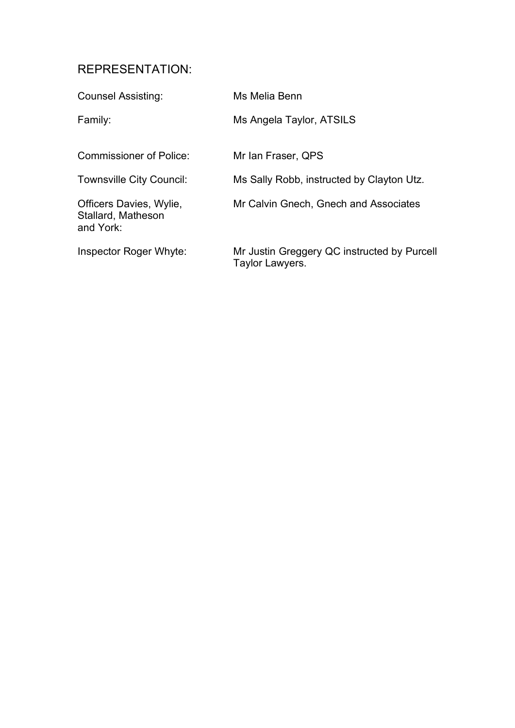# REPRESENTATION:

| <b>Counsel Assisting:</b>                                  | Ms Melia Benn                                                  |
|------------------------------------------------------------|----------------------------------------------------------------|
| Family:                                                    | Ms Angela Taylor, ATSILS                                       |
| Commissioner of Police:                                    | Mr Ian Fraser, QPS                                             |
| <b>Townsville City Council:</b>                            | Ms Sally Robb, instructed by Clayton Utz.                      |
| Officers Davies, Wylie,<br>Stallard, Matheson<br>and York: | Mr Calvin Gnech, Gnech and Associates                          |
| Inspector Roger Whyte:                                     | Mr Justin Greggery QC instructed by Purcell<br>Taylor Lawyers. |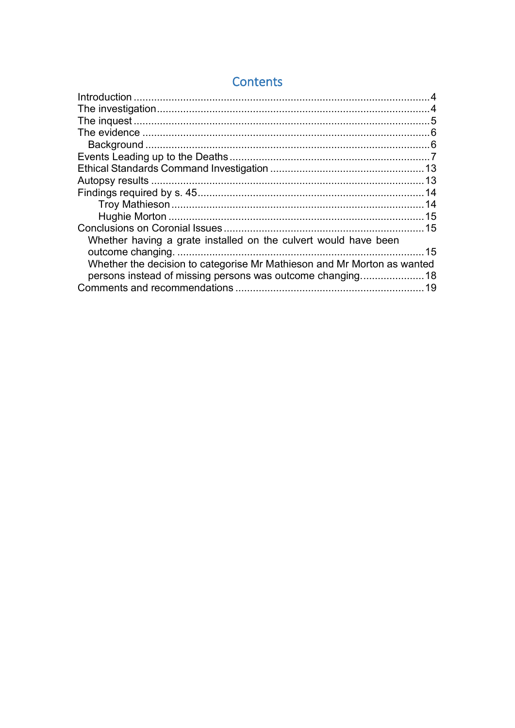|                                                                         | 14 |
|-------------------------------------------------------------------------|----|
|                                                                         |    |
|                                                                         |    |
|                                                                         |    |
| Whether having a grate installed on the culvert would have been         |    |
|                                                                         |    |
| Whether the decision to categorise Mr Mathieson and Mr Morton as wanted |    |
| persons instead of missing persons was outcome changing18               |    |
|                                                                         |    |
|                                                                         |    |

# Contents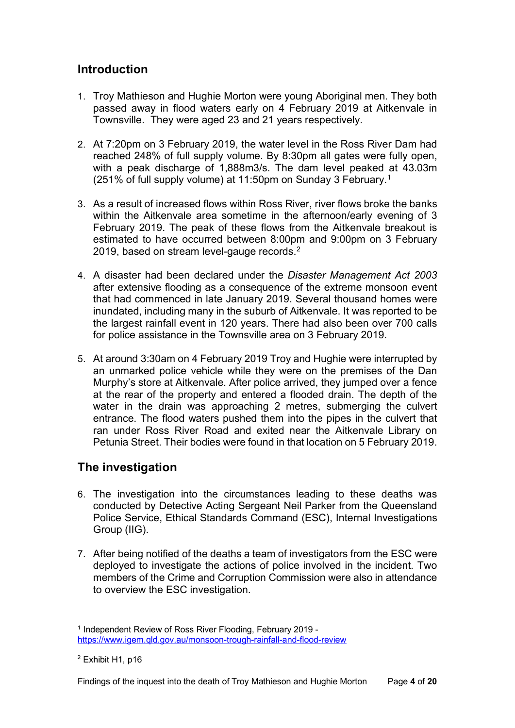# <span id="page-3-0"></span>**Introduction**

- 1. Troy Mathieson and Hughie Morton were young Aboriginal men. They both passed away in flood waters early on 4 February 2019 at Aitkenvale in Townsville. They were aged 23 and 21 years respectively.
- 2. At 7:20pm on 3 February 2019, the water level in the Ross River Dam had reached 248% of full supply volume. By 8:30pm all gates were fully open, with a peak discharge of 1,888m3/s. The dam level peaked at 43.03m (251% of full supply volume) at 11:50pm on Sunday 3 February.[1](#page-3-2)
- 3. As a result of increased flows within Ross River, river flows broke the banks within the Aitkenvale area sometime in the afternoon/early evening of 3 February 2019. The peak of these flows from the Aitkenvale breakout is estimated to have occurred between 8:00pm and 9:00pm on 3 February [2](#page-3-3)019, based on stream level-gauge records.<sup>2</sup>
- 4. A disaster had been declared under the *Disaster Management Act 2003* after extensive flooding as a consequence of the extreme monsoon event that had commenced in late January 2019. Several thousand homes were inundated, including many in the suburb of Aitkenvale. It was reported to be the largest rainfall event in 120 years. There had also been over 700 calls for police assistance in the Townsville area on 3 February 2019.
- 5. At around 3:30am on 4 February 2019 Troy and Hughie were interrupted by an unmarked police vehicle while they were on the premises of the Dan Murphy's store at Aitkenvale. After police arrived, they jumped over a fence at the rear of the property and entered a flooded drain. The depth of the water in the drain was approaching 2 metres, submerging the culvert entrance. The flood waters pushed them into the pipes in the culvert that ran under Ross River Road and exited near the Aitkenvale Library on Petunia Street. Their bodies were found in that location on 5 February 2019.

# <span id="page-3-1"></span>**The investigation**

- 6. The investigation into the circumstances leading to these deaths was conducted by Detective Acting Sergeant Neil Parker from the Queensland Police Service, Ethical Standards Command (ESC), Internal Investigations Group (IIG).
- 7. After being notified of the deaths a team of investigators from the ESC were deployed to investigate the actions of police involved in the incident. Two members of the Crime and Corruption Commission were also in attendance to overview the ESC investigation.

<span id="page-3-2"></span><sup>1</sup> Independent Review of Ross River Flooding, February 2019 <https://www.igem.qld.gov.au/monsoon-trough-rainfall-and-flood-review>

<span id="page-3-3"></span><sup>2</sup> Exhibit H1, p16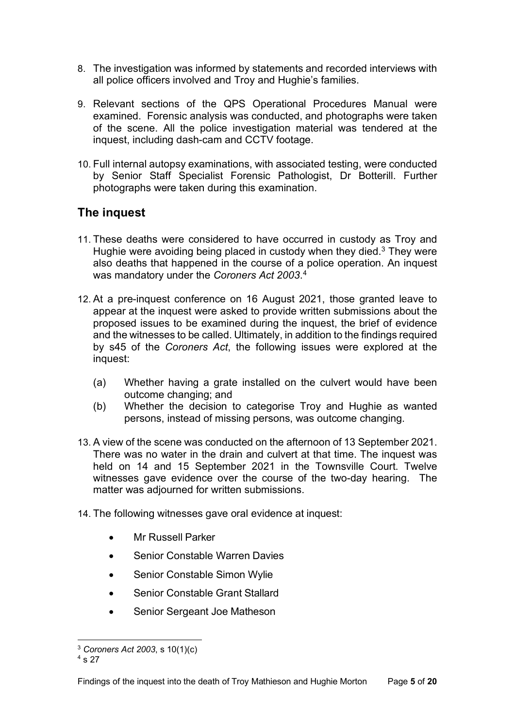- 8. The investigation was informed by statements and recorded interviews with all police officers involved and Troy and Hughie's families.
- 9. Relevant sections of the QPS Operational Procedures Manual were examined. Forensic analysis was conducted, and photographs were taken of the scene. All the police investigation material was tendered at the inquest, including dash-cam and CCTV footage.
- 10. Full internal autopsy examinations, with associated testing, were conducted by Senior Staff Specialist Forensic Pathologist, Dr Botterill. Further photographs were taken during this examination.

# <span id="page-4-0"></span>**The inquest**

- 11. These deaths were considered to have occurred in custody as Troy and Hughie were avoiding being placed in custody when they died. [3](#page-4-1) They were also deaths that happened in the course of a police operation. An inquest was mandatory under the *Coroners Act 2003*. [4](#page-4-2)
- 12. At a pre-inquest conference on 16 August 2021, those granted leave to appear at the inquest were asked to provide written submissions about the proposed issues to be examined during the inquest, the brief of evidence and the witnesses to be called. Ultimately, in addition to the findings required by s45 of the *Coroners Act*, the following issues were explored at the inquest:
	- (a) Whether having a grate installed on the culvert would have been outcome changing; and
	- (b) Whether the decision to categorise Troy and Hughie as wanted persons, instead of missing persons, was outcome changing.
- 13. A view of the scene was conducted on the afternoon of 13 September 2021. There was no water in the drain and culvert at that time. The inquest was held on 14 and 15 September 2021 in the Townsville Court. Twelve witnesses gave evidence over the course of the two-day hearing. The matter was adjourned for written submissions.
- 14. The following witnesses gave oral evidence at inquest:
	- Mr Russell Parker
	- Senior Constable Warren Davies
	- Senior Constable Simon Wylie
	- Senior Constable Grant Stallard
	- Senior Sergeant Joe Matheson

<span id="page-4-1"></span><sup>3</sup> *Coroners Act 2003*, s 10(1)(c)

<span id="page-4-2"></span> $4 s 27$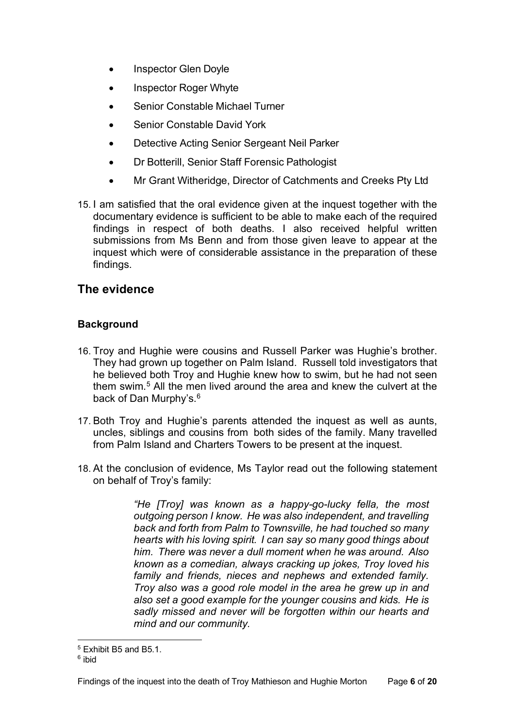- Inspector Glen Doyle
- Inspector Roger Whyte
- Senior Constable Michael Turner
- Senior Constable David York
- Detective Acting Senior Sergeant Neil Parker
- Dr Botterill, Senior Staff Forensic Pathologist
- Mr Grant Witheridge, Director of Catchments and Creeks Pty Ltd
- 15. I am satisfied that the oral evidence given at the inquest together with the documentary evidence is sufficient to be able to make each of the required findings in respect of both deaths. I also received helpful written submissions from Ms Benn and from those given leave to appear at the inquest which were of considerable assistance in the preparation of these findings.

# <span id="page-5-0"></span>**The evidence**

### <span id="page-5-1"></span>**Background**

- 16. Troy and Hughie were cousins and Russell Parker was Hughie's brother. They had grown up together on Palm Island. Russell told investigators that he believed both Troy and Hughie knew how to swim, but he had not seen them swim.[5](#page-5-2) All the men lived around the area and knew the culvert at the back of Dan Murphy's.<sup>[6](#page-5-3)</sup>
- 17. Both Troy and Hughie's parents attended the inquest as well as aunts, uncles, siblings and cousins from both sides of the family. Many travelled from Palm Island and Charters Towers to be present at the inquest.
- 18. At the conclusion of evidence, Ms Taylor read out the following statement on behalf of Troy's family:

*"He [Troy] was known as a happy-go-lucky fella, the most outgoing person I know. He was also independent, and travelling back and forth from Palm to Townsville, he had touched so many hearts with his loving spirit. I can say so many good things about him. There was never a dull moment when he was around. Also known as a comedian, always cracking up jokes, Troy loved his family and friends, nieces and nephews and extended family. Troy also was a good role model in the area he grew up in and also set a good example for the younger cousins and kids. He is sadly missed and never will be forgotten within our hearts and mind and our community.*

<span id="page-5-2"></span><sup>5</sup> Exhibit B5 and B5.1.

<span id="page-5-3"></span><sup>6</sup> ibid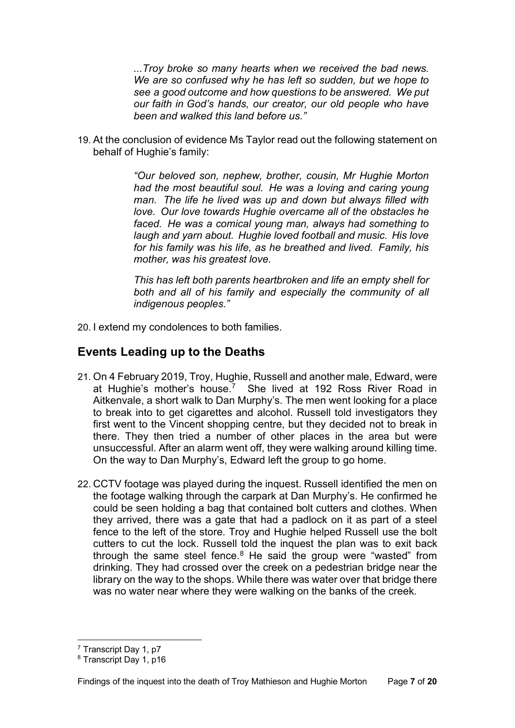*...Troy broke so many hearts when we received the bad news. We are so confused why he has left so sudden, but we hope to see a good outcome and how questions to be answered. We put our faith in God's hands, our creator, our old people who have been and walked this land before us."*

19. At the conclusion of evidence Ms Taylor read out the following statement on behalf of Hughie's family:

> *"Our beloved son, nephew, brother, cousin, Mr Hughie Morton had the most beautiful soul. He was a loving and caring young man. The life he lived was up and down but always filled with love. Our love towards Hughie overcame all of the obstacles he faced. He was a comical young man, always had something to laugh and yarn about. Hughie loved football and music. His love for his family was his life, as he breathed and lived. Family, his mother, was his greatest love.*

> *This has left both parents heartbroken and life an empty shell for both and all of his family and especially the community of all indigenous peoples."*

20. I extend my condolences to both families.

## <span id="page-6-0"></span>**Events Leading up to the Deaths**

- 21. On 4 February 2019, Troy, Hughie, Russell and another male, Edward, were at Hughie's mother's house.<sup>[7](#page-6-1)</sup> She lived at 192 Ross River Road in Aitkenvale, a short walk to Dan Murphy's. The men went looking for a place to break into to get cigarettes and alcohol. Russell told investigators they first went to the Vincent shopping centre, but they decided not to break in there. They then tried a number of other places in the area but were unsuccessful. After an alarm went off, they were walking around killing time. On the way to Dan Murphy's, Edward left the group to go home.
- 22. CCTV footage was played during the inquest. Russell identified the men on the footage walking through the carpark at Dan Murphy's. He confirmed he could be seen holding a bag that contained bolt cutters and clothes. When they arrived, there was a gate that had a padlock on it as part of a steel fence to the left of the store. Troy and Hughie helped Russell use the bolt cutters to cut the lock. Russell told the inquest the plan was to exit back through the same steel fence.<sup>[8](#page-6-2)</sup> He said the group were "wasted" from drinking. They had crossed over the creek on a pedestrian bridge near the library on the way to the shops. While there was water over that bridge there was no water near where they were walking on the banks of the creek.

<sup>7</sup> Transcript Day 1, p7

<span id="page-6-2"></span><span id="page-6-1"></span><sup>8</sup> Transcript Day 1, p16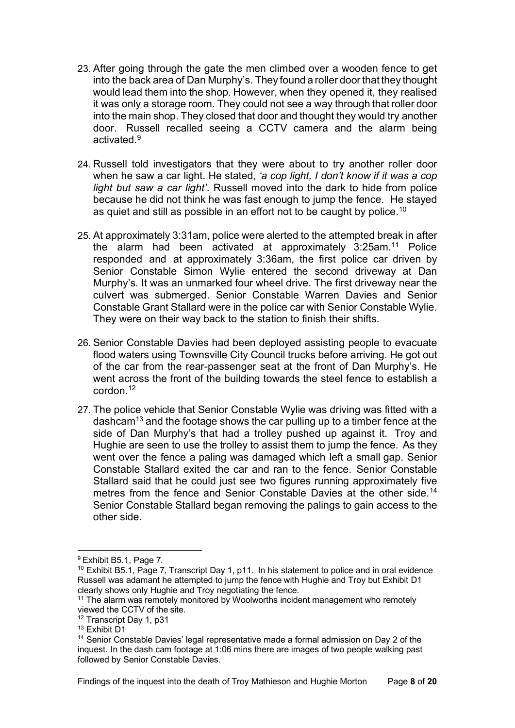- 23. After going through the gate the men climbed over a wooden fence to get into the back area of Dan Murphy's. They found a roller door that they thought would lead them into the shop. However, when they opened it, they realised it was only a storage room. They could not see a way through that roller door into the main shop. They closed that door and thought they would try another door. Russell recalled seeing a CCTV camera and the alarm being activated.<sup>[9](#page-7-0)</sup>
- 24. Russell told investigators that they were about to try another roller door when he saw a car light. He stated, *'a cop light, I don't know if it was a cop light but saw a car light'*. Russell moved into the dark to hide from police because he did not think he was fast enough to jump the fence. He stayed as quiet and still as possible in an effort not to be caught by police.<sup>10</sup>
- 25. At approximately 3:31am, police were alerted to the attempted break in after the alarm had been activated at approximately 3:25am.[11](#page-7-2) Police responded and at approximately 3:36am, the first police car driven by Senior Constable Simon Wylie entered the second driveway at Dan Murphy's. It was an unmarked four wheel drive. The first driveway near the culvert was submerged. Senior Constable Warren Davies and Senior Constable Grant Stallard were in the police car with Senior Constable Wylie. They were on their way back to the station to finish their shifts.
- 26. Senior Constable Davies had been deployed assisting people to evacuate flood waters using Townsville City Council trucks before arriving. He got out of the car from the rear-passenger seat at the front of Dan Murphy's. He went across the front of the building towards the steel fence to establish a cordon $12$
- 27. The police vehicle that Senior Constable Wylie was driving was fitted with a dashcam[13](#page-7-4) and the footage shows the car pulling up to a timber fence at the side of Dan Murphy's that had a trolley pushed up against it. Troy and Hughie are seen to use the trolley to assist them to jump the fence. As they went over the fence a paling was damaged which left a small gap. Senior Constable Stallard exited the car and ran to the fence. Senior Constable Stallard said that he could just see two figures running approximately five metres from the fence and Senior Constable Davies at the other side. [14](#page-7-5) Senior Constable Stallard began removing the palings to gain access to the other side.

<span id="page-7-0"></span><sup>9</sup> Exhibit B5.1, Page 7.

<span id="page-7-1"></span><sup>&</sup>lt;sup>10</sup> Exhibit B5.1, Page 7, Transcript Day 1, p11. In his statement to police and in oral evidence Russell was adamant he attempted to jump the fence with Hughie and Troy but Exhibit D1 clearly shows only Hughie and Troy negotiating the fence.

<span id="page-7-2"></span> $11$  The alarm was remotely monitored by Woolworths incident management who remotely viewed the CCTV of the site.

<span id="page-7-3"></span><sup>&</sup>lt;sup>12</sup> Transcript Day 1, p31

<span id="page-7-4"></span><sup>13</sup> Exhibit D1

<span id="page-7-5"></span><sup>&</sup>lt;sup>14</sup> Senior Constable Davies' legal representative made a formal admission on Day 2 of the inquest. In the dash cam footage at 1:06 mins there are images of two people walking past followed by Senior Constable Davies.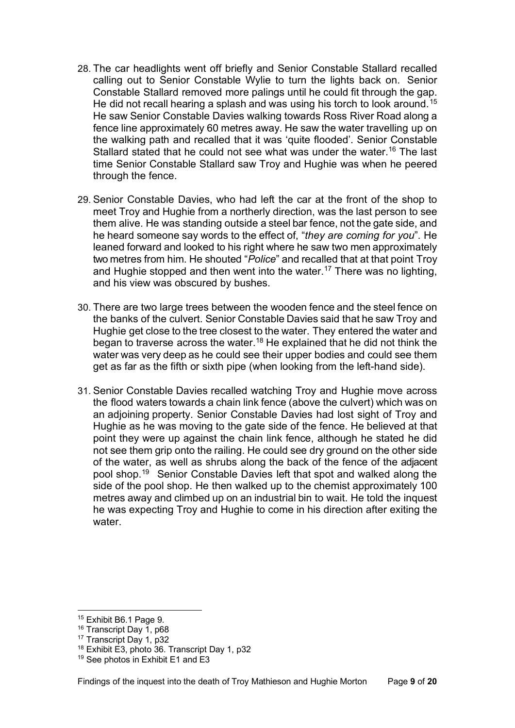- 28. The car headlights went off briefly and Senior Constable Stallard recalled calling out to Senior Constable Wylie to turn the lights back on. Senior Constable Stallard removed more palings until he could fit through the gap. He did not recall hearing a splash and was using his torch to look around.<sup>[15](#page-8-0)</sup> He saw Senior Constable Davies walking towards Ross River Road along a fence line approximately 60 metres away. He saw the water travelling up on the walking path and recalled that it was 'quite flooded'. Senior Constable Stallard stated that he could not see what was under the water.<sup>16</sup> The last time Senior Constable Stallard saw Troy and Hughie was when he peered through the fence.
- 29. Senior Constable Davies, who had left the car at the front of the shop to meet Troy and Hughie from a northerly direction, was the last person to see them alive. He was standing outside a steel bar fence, not the gate side, and he heard someone say words to the effect of, "*they are coming for you*". He leaned forward and looked to his right where he saw two men approximately two metres from him. He shouted "*Police*" and recalled that at that point Troy and Hughie stopped and then went into the water.<sup>[17](#page-8-2)</sup> There was no lighting, and his view was obscured by bushes.
- 30. There are two large trees between the wooden fence and the steel fence on the banks of the culvert. Senior Constable Davies said that he saw Troy and Hughie get close to the tree closest to the water. They entered the water and began to traverse across the water.[18](#page-8-3) He explained that he did not think the water was very deep as he could see their upper bodies and could see them get as far as the fifth or sixth pipe (when looking from the left-hand side).
- 31. Senior Constable Davies recalled watching Troy and Hughie move across the flood waters towards a chain link fence (above the culvert) which was on an adjoining property. Senior Constable Davies had lost sight of Troy and Hughie as he was moving to the gate side of the fence. He believed at that point they were up against the chain link fence, although he stated he did not see them grip onto the railing. He could see dry ground on the other side of the water, as well as shrubs along the back of the fence of the adjacent pool shop.[19](#page-8-4) Senior Constable Davies left that spot and walked along the side of the pool shop. He then walked up to the chemist approximately 100 metres away and climbed up on an industrial bin to wait. He told the inquest he was expecting Troy and Hughie to come in his direction after exiting the water.

<span id="page-8-0"></span><sup>15</sup> Exhibit B6.1 Page 9.

<span id="page-8-1"></span><sup>&</sup>lt;sup>16</sup> Transcript Day 1, p68

<span id="page-8-2"></span><sup>&</sup>lt;sup>17</sup> Transcript Day 1, p32

<span id="page-8-3"></span><sup>18</sup> Exhibit E3, photo 36. Transcript Day 1, p32

<span id="page-8-4"></span><sup>&</sup>lt;sup>19</sup> See photos in Exhibit E1 and E3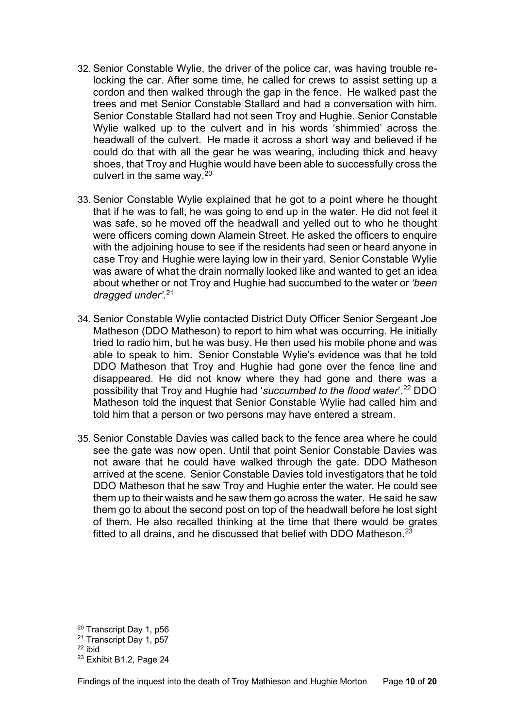- 32. Senior Constable Wylie, the driver of the police car, was having trouble relocking the car. After some time, he called for crews to assist setting up a cordon and then walked through the gap in the fence. He walked past the trees and met Senior Constable Stallard and had a conversation with him. Senior Constable Stallard had not seen Troy and Hughie. Senior Constable Wylie walked up to the culvert and in his words 'shimmied' across the headwall of the culvert. He made it across a short way and believed if he could do that with all the gear he was wearing, including thick and heavy shoes, that Troy and Hughie would have been able to successfully cross the culvert in the same way. $20$
- 33. Senior Constable Wylie explained that he got to a point where he thought that if he was to fall, he was going to end up in the water. He did not feel it was safe, so he moved off the headwall and yelled out to who he thought were officers coming down Alamein Street. He asked the officers to enquire with the adjoining house to see if the residents had seen or heard anyone in case Troy and Hughie were laying low in their yard. Senior Constable Wylie was aware of what the drain normally looked like and wanted to get an idea about whether or not Troy and Hughie had succumbed to the water or *'been dragged under'*. [21](#page-9-1)
- 34. Senior Constable Wylie contacted District Duty Officer Senior Sergeant Joe Matheson (DDO Matheson) to report to him what was occurring. He initially tried to radio him, but he was busy. He then used his mobile phone and was able to speak to him. Senior Constable Wylie's evidence was that he told DDO Matheson that Troy and Hughie had gone over the fence line and disappeared. He did not know where they had gone and there was a possibility that Troy and Hughie had '*succumbed to the flood water*'.[22](#page-9-2) DDO Matheson told the inquest that Senior Constable Wylie had called him and told him that a person or two persons may have entered a stream.
- 35. Senior Constable Davies was called back to the fence area where he could see the gate was now open. Until that point Senior Constable Davies was not aware that he could have walked through the gate. DDO Matheson arrived at the scene. Senior Constable Davies told investigators that he told DDO Matheson that he saw Troy and Hughie enter the water. He could see them up to their waists and he saw them go across the water. He said he saw them go to about the second post on top of the headwall before he lost sight of them. He also recalled thinking at the time that there would be grates fitted to all drains, and he discussed that belief with DDO Matheson. $23$

<span id="page-9-0"></span><sup>20</sup> Transcript Day 1, p56

<span id="page-9-1"></span><sup>21</sup> Transcript Day 1, p57

<span id="page-9-2"></span> $22$  ibid

<span id="page-9-3"></span><sup>23</sup> Exhibit B1.2, Page 24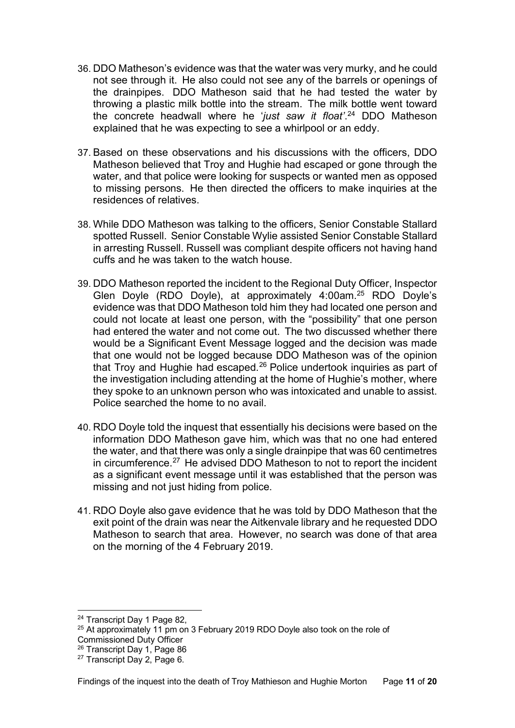- 36. DDO Matheson's evidence was that the water was very murky, and he could not see through it. He also could not see any of the barrels or openings of the drainpipes. DDO Matheson said that he had tested the water by throwing a plastic milk bottle into the stream. The milk bottle went toward the concrete headwall where he '*just saw it float'*. [24](#page-10-0) DDO Matheson explained that he was expecting to see a whirlpool or an eddy.
- 37. Based on these observations and his discussions with the officers, DDO Matheson believed that Troy and Hughie had escaped or gone through the water, and that police were looking for suspects or wanted men as opposed to missing persons. He then directed the officers to make inquiries at the residences of relatives.
- 38. While DDO Matheson was talking to the officers, Senior Constable Stallard spotted Russell. Senior Constable Wylie assisted Senior Constable Stallard in arresting Russell. Russell was compliant despite officers not having hand cuffs and he was taken to the watch house.
- 39. DDO Matheson reported the incident to the Regional Duty Officer, Inspector Glen Doyle (RDO Doyle), at approximately 4:00am.[25](#page-10-1) RDO Doyle's evidence was that DDO Matheson told him they had located one person and could not locate at least one person, with the "possibility" that one person had entered the water and not come out. The two discussed whether there would be a Significant Event Message logged and the decision was made that one would not be logged because DDO Matheson was of the opinion that Troy and Hughie had escaped.[26](#page-10-2) Police undertook inquiries as part of the investigation including attending at the home of Hughie's mother, where they spoke to an unknown person who was intoxicated and unable to assist. Police searched the home to no avail.
- 40. RDO Doyle told the inquest that essentially his decisions were based on the information DDO Matheson gave him, which was that no one had entered the water, and that there was only a single drainpipe that was 60 centimetres in circumference.<sup>[27](#page-10-3)</sup> He advised DDO Matheson to not to report the incident as a significant event message until it was established that the person was missing and not just hiding from police.
- 41. RDO Doyle also gave evidence that he was told by DDO Matheson that the exit point of the drain was near the Aitkenvale library and he requested DDO Matheson to search that area. However, no search was done of that area on the morning of the 4 February 2019.

<span id="page-10-0"></span><sup>24</sup> Transcript Day 1 Page 82,

<span id="page-10-1"></span> $25$  At approximately 11 pm on 3 February 2019 RDO Doyle also took on the role of Commissioned Duty Officer

<span id="page-10-2"></span><sup>26</sup> Transcript Day 1, Page 86

<span id="page-10-3"></span><sup>27</sup> Transcript Day 2, Page 6.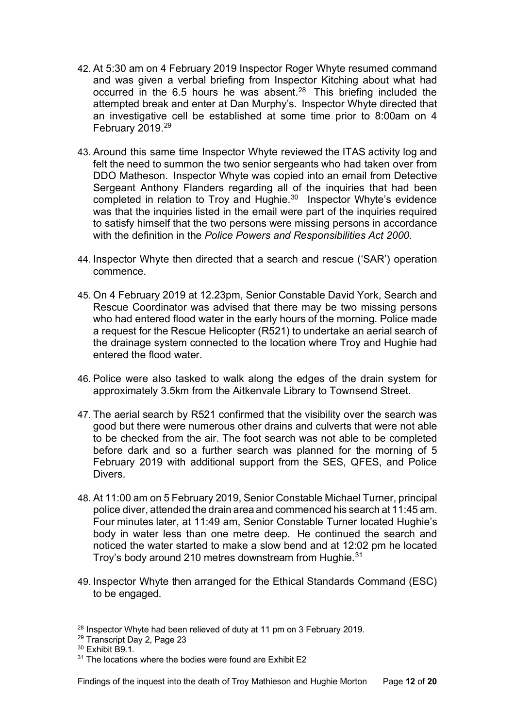- 42. At 5:30 am on 4 February 2019 Inspector Roger Whyte resumed command and was given a verbal briefing from Inspector Kitching about what had occurred in the 6.5 hours he was absent.<sup>[28](#page-11-0)</sup> This briefing included the attempted break and enter at Dan Murphy's. Inspector Whyte directed that an investigative cell be established at some time prior to 8:00am on 4 February 2019.<sup>[29](#page-11-1)</sup>
- 43. Around this same time Inspector Whyte reviewed the ITAS activity log and felt the need to summon the two senior sergeants who had taken over from DDO Matheson. Inspector Whyte was copied into an email from Detective Sergeant Anthony Flanders regarding all of the inquiries that had been completed in relation to Troy and Hughie.<sup>[30](#page-11-2)</sup> Inspector Whyte's evidence was that the inquiries listed in the email were part of the inquiries required to satisfy himself that the two persons were missing persons in accordance with the definition in the *Police Powers and Responsibilities Act 2000.*
- 44. Inspector Whyte then directed that a search and rescue ('SAR') operation commence.
- 45. On 4 February 2019 at 12.23pm, Senior Constable David York, Search and Rescue Coordinator was advised that there may be two missing persons who had entered flood water in the early hours of the morning. Police made a request for the Rescue Helicopter (R521) to undertake an aerial search of the drainage system connected to the location where Troy and Hughie had entered the flood water.
- 46. Police were also tasked to walk along the edges of the drain system for approximately 3.5km from the Aitkenvale Library to Townsend Street.
- 47. The aerial search by R521 confirmed that the visibility over the search was good but there were numerous other drains and culverts that were not able to be checked from the air. The foot search was not able to be completed before dark and so a further search was planned for the morning of 5 February 2019 with additional support from the SES, QFES, and Police Divers.
- 48. At 11:00 am on 5 February 2019, Senior Constable Michael Turner, principal police diver, attended the drain area and commenced his search at 11:45 am. Four minutes later, at 11:49 am, Senior Constable Turner located Hughie's body in water less than one metre deep. He continued the search and noticed the water started to make a slow bend and at 12:02 pm he located Troy's body around 210 metres downstream from Hughie.<sup>[31](#page-11-3)</sup>
- 49. Inspector Whyte then arranged for the Ethical Standards Command (ESC) to be engaged.

<span id="page-11-0"></span> $28$  Inspector Whyte had been relieved of duty at 11 pm on 3 February 2019.

<span id="page-11-1"></span><sup>29</sup> Transcript Day 2, Page 23

<span id="page-11-2"></span><sup>&</sup>lt;sup>30</sup> Exhibit B9.1.

<span id="page-11-3"></span><sup>&</sup>lt;sup>31</sup> The locations where the bodies were found are Exhibit E2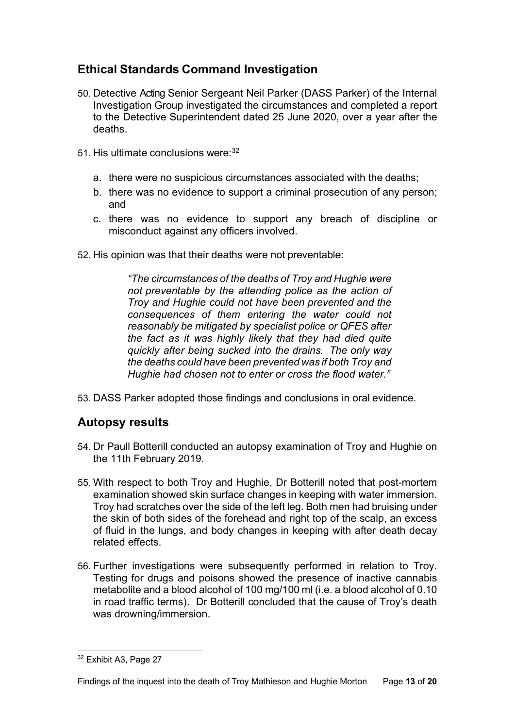# <span id="page-12-0"></span>**Ethical Standards Command Investigation**

- 50. Detective Acting Senior Sergeant Neil Parker (DASS Parker) of the Internal Investigation Group investigated the circumstances and completed a report to the Detective Superintendent dated 25 June 2020, over a year after the deaths.
- 51. His ultimate conclusions were: [32](#page-12-2)
	- a. there were no suspicious circumstances associated with the deaths;
	- b. there was no evidence to support a criminal prosecution of any person; and
	- c. there was no evidence to support any breach of discipline or misconduct against any officers involved.
- 52. His opinion was that their deaths were not preventable:

*"The circumstances of the deaths of Troy and Hughie were not preventable by the attending police as the action of Troy and Hughie could not have been prevented and the consequences of them entering the water could not reasonably be mitigated by specialist police or QFES after the fact as it was highly likely that they had died quite quickly after being sucked into the drains. The only way the deaths could have been prevented was if both Troy and Hughie had chosen not to enter or cross the flood water."*

53. DASS Parker adopted those findings and conclusions in oral evidence.

# <span id="page-12-1"></span>**Autopsy results**

- 54. Dr Paull Botterill conducted an autopsy examination of Troy and Hughie on the 11th February 2019.
- 55. With respect to both Troy and Hughie, Dr Botterill noted that post-mortem examination showed skin surface changes in keeping with water immersion. Troy had scratches over the side of the left leg. Both men had bruising under the skin of both sides of the forehead and right top of the scalp, an excess of fluid in the lungs, and body changes in keeping with after death decay related effects.
- 56. Further investigations were subsequently performed in relation to Troy. Testing for drugs and poisons showed the presence of inactive cannabis metabolite and a blood alcohol of 100 mg/100 ml (i.e. a blood alcohol of 0.10 in road traffic terms). Dr Botterill concluded that the cause of Troy's death was drowning/immersion.

<span id="page-12-2"></span><sup>32</sup> Exhibit A3, Page 27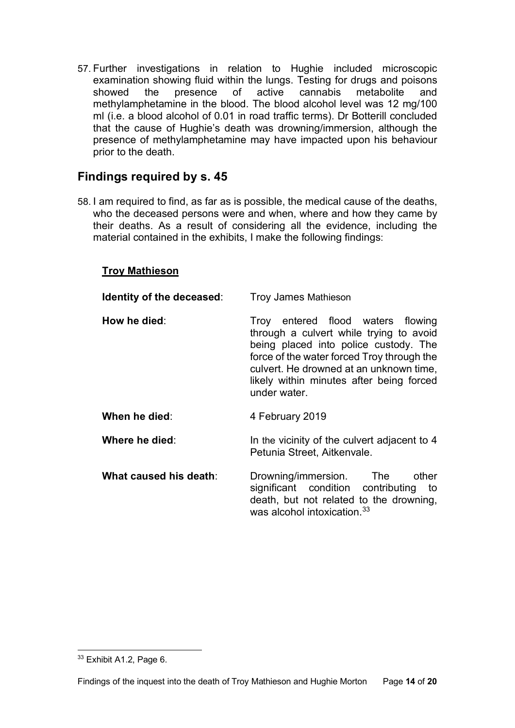57. Further investigations in relation to Hughie included microscopic examination showing fluid within the lungs. Testing for drugs and poisons showed the presence of active cannabis metabolite and showed the presence of active cannabis metabolite and methylamphetamine in the blood. The blood alcohol level was 12 mg/100 ml (i.e. a blood alcohol of 0.01 in road traffic terms). Dr Botterill concluded that the cause of Hughie's death was drowning/immersion, although the presence of methylamphetamine may have impacted upon his behaviour prior to the death.

# <span id="page-13-0"></span>**Findings required by s. 45**

58. I am required to find, as far as is possible, the medical cause of the deaths, who the deceased persons were and when, where and how they came by their deaths. As a result of considering all the evidence, including the material contained in the exhibits, I make the following findings:

#### <span id="page-13-1"></span>**Troy Mathieson**

| Identity of the deceased: | <b>Troy James Mathieson</b>                                                                                                                                                                                                                                                |
|---------------------------|----------------------------------------------------------------------------------------------------------------------------------------------------------------------------------------------------------------------------------------------------------------------------|
| How he died:              | Troy entered flood waters flowing<br>through a culvert while trying to avoid<br>being placed into police custody. The<br>force of the water forced Troy through the<br>culvert. He drowned at an unknown time,<br>likely within minutes after being forced<br>under water. |
| When he died:             | 4 February 2019                                                                                                                                                                                                                                                            |
| Where he died:            | In the vicinity of the culvert adjacent to 4<br>Petunia Street, Aitkenvale.                                                                                                                                                                                                |
| What caused his death:    | Drowning/immersion. The<br>other<br>significant condition contributing<br>to<br>death, but not related to the drowning,<br>was alcohol intoxication. <sup>33</sup>                                                                                                         |

<span id="page-13-3"></span><span id="page-13-2"></span><sup>33</sup> Exhibit A1.2, Page 6.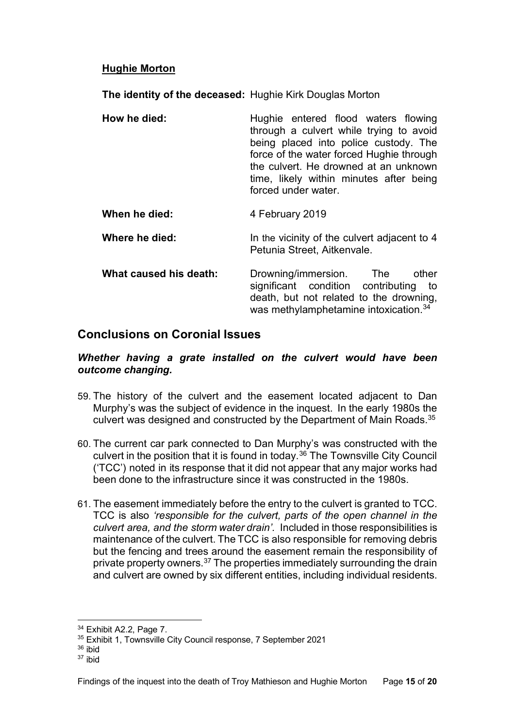#### **Hughie Morton**

**The identity of the deceased:** Hughie Kirk Douglas Morton

| How he died:           | Hughie entered flood waters flowing<br>through a culvert while trying to avoid<br>being placed into police custody. The<br>force of the water forced Hughie through<br>the culvert. He drowned at an unknown<br>time, likely within minutes after being<br>forced under water. |
|------------------------|--------------------------------------------------------------------------------------------------------------------------------------------------------------------------------------------------------------------------------------------------------------------------------|
| When he died:          | 4 February 2019                                                                                                                                                                                                                                                                |
| Where he died:         | In the vicinity of the culvert adjacent to 4<br>Petunia Street, Aitkenvale.                                                                                                                                                                                                    |
| What caused his death: | other<br>Drowning/immersion. The<br>significant condition contributing to<br>death, but not related to the drowning,                                                                                                                                                           |

## <span id="page-14-0"></span>**Conclusions on Coronial Issues**

#### <span id="page-14-1"></span>*Whether having a grate installed on the culvert would have been outcome changing.*

was methylamphetamine intoxication. [34](#page-14-2)

- 59. The history of the culvert and the easement located adjacent to Dan Murphy's was the subject of evidence in the inquest. In the early 1980s the culvert was designed and constructed by the Department of Main Roads.<sup>[35](#page-14-3)</sup>
- 60. The current car park connected to Dan Murphy's was constructed with the culvert in the position that it is found in today.<sup>[36](#page-14-4)</sup> The Townsville City Council ('TCC') noted in its response that it did not appear that any major works had been done to the infrastructure since it was constructed in the 1980s.
- 61. The easement immediately before the entry to the culvert is granted to TCC. TCC is also *'responsible for the culvert, parts of the open channel in the culvert area, and the storm water drain'.* Included in those responsibilities is maintenance of the culvert. The TCC is also responsible for removing debris but the fencing and trees around the easement remain the responsibility of private property owners.<sup>[37](#page-14-5)</sup> The properties immediately surrounding the drain and culvert are owned by six different entities, including individual residents.

<span id="page-14-2"></span><sup>34</sup> Exhibit A2.2, Page 7.

<span id="page-14-3"></span><sup>35</sup> Exhibit 1, Townsville City Council response, 7 September 2021

<span id="page-14-4"></span><sup>36</sup> ibid

<span id="page-14-5"></span><sup>37</sup> ibid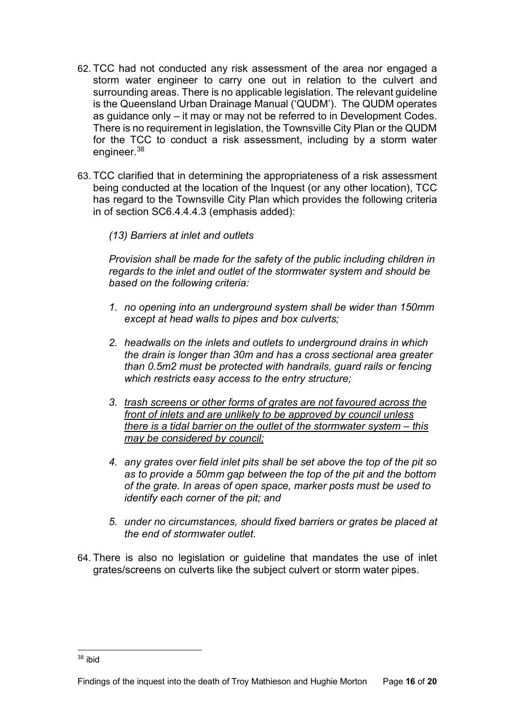- 62. TCC had not conducted any risk assessment of the area nor engaged a storm water engineer to carry one out in relation to the culvert and surrounding areas. There is no applicable legislation. The relevant guideline is the Queensland Urban Drainage Manual ('QUDM'). The QUDM operates as guidance only – it may or may not be referred to in Development Codes. There is no requirement in legislation, the Townsville City Plan or the QUDM for the TCC to conduct a risk assessment, including by a storm water engineer.[38](#page-15-0)
- 63. TCC clarified that in determining the appropriateness of a risk assessment being conducted at the location of the Inquest (or any other location), TCC has regard to the Townsville City Plan which provides the following criteria in of section SC6.4.4.4.3 (emphasis added):

#### *(13) Barriers at inlet and outlets*

*Provision shall be made for the safety of the public including children in regards to the inlet and outlet of the stormwater system and should be based on the following criteria:*

- *1. no opening into an underground system shall be wider than 150mm except at head walls to pipes and box culverts;*
- *2. headwalls on the inlets and outlets to underground drains in which the drain is longer than 30m and has a cross sectional area greater than 0.5m2 must be protected with handrails, guard rails or fencing which restricts easy access to the entry structure;*
- *3. trash screens or other forms of grates are not favoured across the front of inlets and are unlikely to be approved by council unless there is a tidal barrier on the outlet of the stormwater system – this may be considered by council;*
- *4. any grates over field inlet pits shall be set above the top of the pit so as to provide a 50mm gap between the top of the pit and the bottom of the grate. In areas of open space, marker posts must be used to identify each corner of the pit; and*
- *5. under no circumstances, should fixed barriers or grates be placed at the end of stormwater outlet.*
- 64. There is also no legislation or guideline that mandates the use of inlet grates/screens on culverts like the subject culvert or storm water pipes.

<span id="page-15-0"></span><sup>38</sup> ibid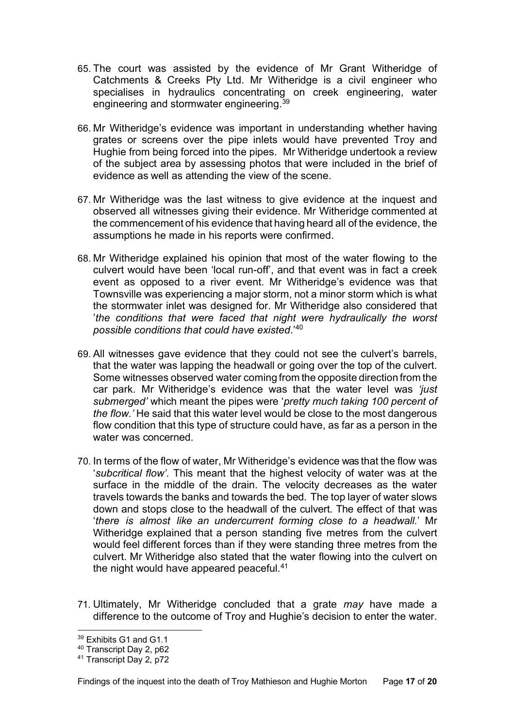- 65. The court was assisted by the evidence of Mr Grant Witheridge of Catchments & Creeks Pty Ltd. Mr Witheridge is a civil engineer who specialises in hydraulics concentrating on creek engineering, water engineering and stormwater engineering.<sup>39</sup>
- 66. Mr Witheridge's evidence was important in understanding whether having grates or screens over the pipe inlets would have prevented Troy and Hughie from being forced into the pipes. Mr Witheridge undertook a review of the subject area by assessing photos that were included in the brief of evidence as well as attending the view of the scene.
- 67. Mr Witheridge was the last witness to give evidence at the inquest and observed all witnesses giving their evidence. Mr Witheridge commented at the commencement of his evidence that having heard all of the evidence, the assumptions he made in his reports were confirmed.
- 68. Mr Witheridge explained his opinion that most of the water flowing to the culvert would have been 'local run-off', and that event was in fact a creek event as opposed to a river event. Mr Witheridge's evidence was that Townsville was experiencing a major storm, not a minor storm which is what the stormwater inlet was designed for. Mr Witheridge also considered that '*the conditions that were faced that night were hydraulically the worst possible conditions that could have existed*.' [40](#page-16-1)
- 69. All witnesses gave evidence that they could not see the culvert's barrels, that the water was lapping the headwall or going over the top of the culvert. Some witnesses observed water coming from the opposite direction from the car park. Mr Witheridge's evidence was that the water level was *'just submerged'* which meant the pipes were '*pretty much taking 100 percent of the flow.'* He said that this water level would be close to the most dangerous flow condition that this type of structure could have, as far as a person in the water was concerned.
- 70. In terms of the flow of water, Mr Witheridge's evidence was that the flow was '*subcritical flow'.* This meant that the highest velocity of water was at the surface in the middle of the drain. The velocity decreases as the water travels towards the banks and towards the bed. The top layer of water slows down and stops close to the headwall of the culvert. The effect of that was '*there is almost like an undercurrent forming close to a headwall.*' Mr Witheridge explained that a person standing five metres from the culvert would feel different forces than if they were standing three metres from the culvert. Mr Witheridge also stated that the water flowing into the culvert on the night would have appeared peaceful.<sup>41</sup>
- 71. Ultimately, Mr Witheridge concluded that a grate *may* have made a difference to the outcome of Troy and Hughie's decision to enter the water.

<span id="page-16-0"></span><sup>&</sup>lt;sup>39</sup> Exhibits G1 and G1.1

<span id="page-16-1"></span><sup>40</sup> Transcript Day 2, p62

<span id="page-16-2"></span><sup>&</sup>lt;sup>41</sup> Transcript Day 2, p72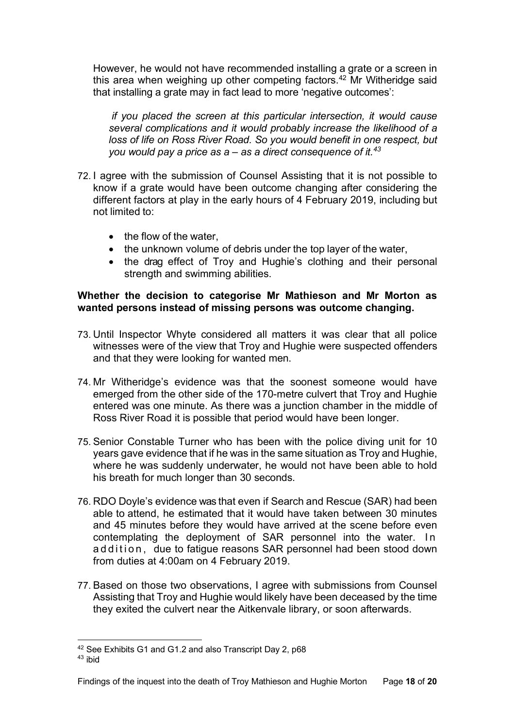However, he would not have recommended installing a grate or a screen in this area when weighing up other competing factors.<sup>[42](#page-17-1)</sup> Mr Witheridge said that installing a grate may in fact lead to more 'negative outcomes':

*if you placed the screen at this particular intersection, it would cause several complications and it would probably increase the likelihood of a loss of life on Ross River Road. So you would benefit in one respect, but you would pay a price as a – as a direct consequence of it. [43](#page-17-2)*

- 72. I agree with the submission of Counsel Assisting that it is not possible to know if a grate would have been outcome changing after considering the different factors at play in the early hours of 4 February 2019, including but not limited to:
	- the flow of the water.
	- the unknown volume of debris under the top layer of the water,
	- the drag effect of Troy and Hughie's clothing and their personal strength and swimming abilities.

#### <span id="page-17-0"></span>**Whether the decision to categorise Mr Mathieson and Mr Morton as wanted persons instead of missing persons was outcome changing.**

- 73. Until Inspector Whyte considered all matters it was clear that all police witnesses were of the view that Troy and Hughie were suspected offenders and that they were looking for wanted men.
- 74. Mr Witheridge's evidence was that the soonest someone would have emerged from the other side of the 170-metre culvert that Troy and Hughie entered was one minute. As there was a junction chamber in the middle of Ross River Road it is possible that period would have been longer.
- 75. Senior Constable Turner who has been with the police diving unit for 10 years gave evidence that if he was in the same situation as Troy and Hughie, where he was suddenly underwater, he would not have been able to hold his breath for much longer than 30 seconds.
- 76. RDO Doyle's evidence was that even if Search and Rescue (SAR) had been able to attend, he estimated that it would have taken between 30 minutes and 45 minutes before they would have arrived at the scene before even contemplating the deployment of SAR personnel into the water. In addition, due to fatigue reasons SAR personnel had been stood down from duties at 4:00am on 4 February 2019.
- 77. Based on those two observations, I agree with submissions from Counsel Assisting that Troy and Hughie would likely have been deceased by the time they exited the culvert near the Aitkenvale library, or soon afterwards.

<span id="page-17-1"></span><sup>42</sup> See Exhibits G1 and G1.2 and also Transcript Day 2, p68

<span id="page-17-2"></span><sup>43</sup> ibid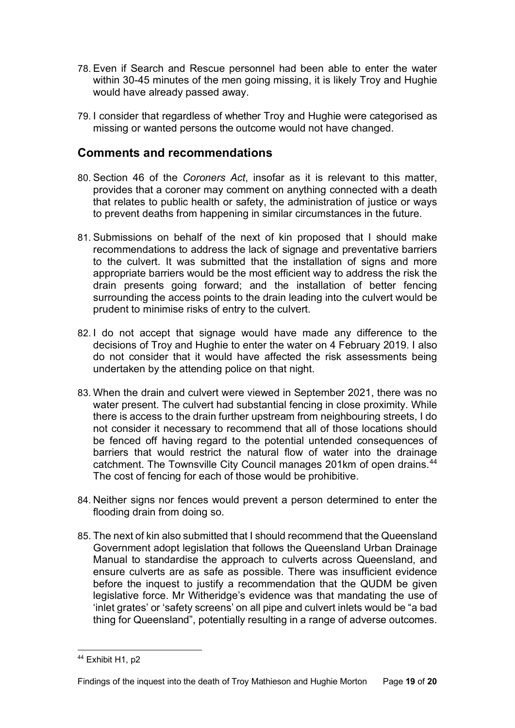- 78. Even if Search and Rescue personnel had been able to enter the water within 30-45 minutes of the men going missing, it is likely Troy and Hughie would have already passed away.
- 79. I consider that regardless of whether Troy and Hughie were categorised as missing or wanted persons the outcome would not have changed.

### <span id="page-18-0"></span>**Comments and recommendations**

- 80. Section 46 of the *Coroners Act*, insofar as it is relevant to this matter, provides that a coroner may comment on anything connected with a death that relates to public health or safety, the administration of justice or ways to prevent deaths from happening in similar circumstances in the future.
- 81. Submissions on behalf of the next of kin proposed that I should make recommendations to address the lack of signage and preventative barriers to the culvert. It was submitted that the installation of signs and more appropriate barriers would be the most efficient way to address the risk the drain presents going forward; and the installation of better fencing surrounding the access points to the drain leading into the culvert would be prudent to minimise risks of entry to the culvert.
- 82. I do not accept that signage would have made any difference to the decisions of Troy and Hughie to enter the water on 4 February 2019. I also do not consider that it would have affected the risk assessments being undertaken by the attending police on that night.
- 83. When the drain and culvert were viewed in September 2021, there was no water present. The culvert had substantial fencing in close proximity. While there is access to the drain further upstream from neighbouring streets, I do not consider it necessary to recommend that all of those locations should be fenced off having regard to the potential untended consequences of barriers that would restrict the natural flow of water into the drainage catchment. The Townsville City Council manages 201km of open drains. [44](#page-18-1) The cost of fencing for each of those would be prohibitive.
- 84. Neither signs nor fences would prevent a person determined to enter the flooding drain from doing so.
- 85. The next of kin also submitted that I should recommend that the Queensland Government adopt legislation that follows the Queensland Urban Drainage Manual to standardise the approach to culverts across Queensland, and ensure culverts are as safe as possible. There was insufficient evidence before the inquest to justify a recommendation that the QUDM be given legislative force. Mr Witheridge's evidence was that mandating the use of 'inlet grates' or 'safety screens' on all pipe and culvert inlets would be "a bad thing for Queensland", potentially resulting in a range of adverse outcomes.

<span id="page-18-1"></span><sup>44</sup> Exhibit H1, p2